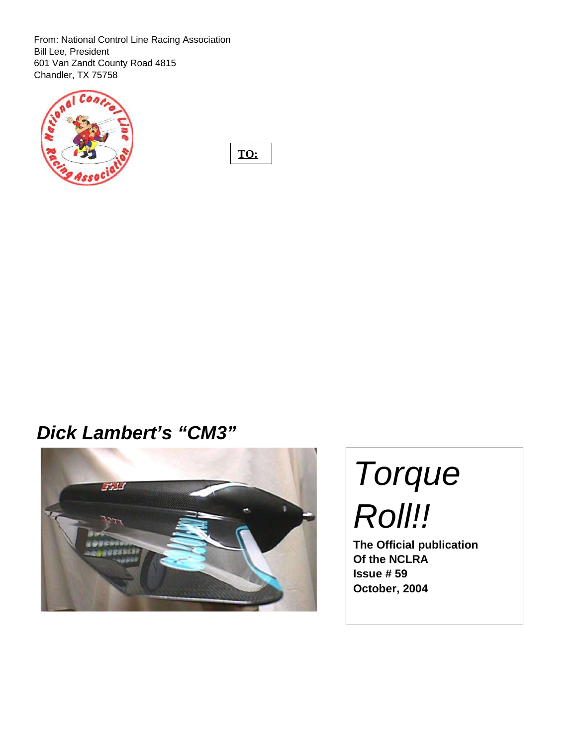From: National Control Line Racing Association Bill Lee, President 601 Van Zandt County Road 4815 Chandler, TX 75758



**TO:**

# **Dick Lambert's "CM3"**



# Torque Roll!!

**The Official publication Of the NCLRA Issue # 59 October, 2004**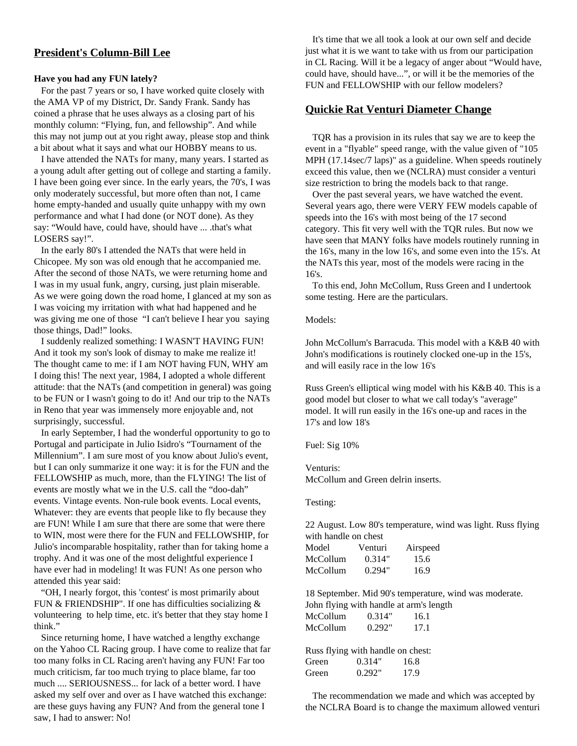# **President's Column-Bill Lee**

#### **Have you had any FUN lately?**

For the past 7 years or so, I have worked quite closely with the AMA VP of my District, Dr. Sandy Frank. Sandy has coined a phrase that he uses always as a closing part of his monthly column: "Flying, fun, and fellowship". And while this may not jump out at you right away, please stop and think a bit about what it says and what our HOBBY means to us.

I have attended the NATs for many, many years. I started as a young adult after getting out of college and starting a family. I have been going ever since. In the early years, the 70's, I was only moderately successful, but more often than not, I came home empty-handed and usually quite unhappy with my own performance and what I had done (or NOT done). As they say: "Would have, could have, should have ... .that's what LOSERS say!".

In the early 80's I attended the NATs that were held in Chicopee. My son was old enough that he accompanied me. After the second of those NATs, we were returning home and I was in my usual funk, angry, cursing, just plain miserable. As we were going down the road home, I glanced at my son as I was voicing my irritation with what had happened and he was giving me one of those "I can't believe I hear you saying those things, Dad!" looks.

I suddenly realized something: I WASN'T HAVING FUN! And it took my son's look of dismay to make me realize it! The thought came to me: if I am NOT having FUN, WHY am I doing this! The next year, 1984, I adopted a whole different attitude: that the NATs (and competition in general) was going to be FUN or I wasn't going to do it! And our trip to the NATs in Reno that year was immensely more enjoyable and, not surprisingly, successful.

In early September, I had the wonderful opportunity to go to Portugal and participate in Julio Isidro's "Tournament of the Millennium". I am sure most of you know about Julio's event, but I can only summarize it one way: it is for the FUN and the FELLOWSHIP as much, more, than the FLYING! The list of events are mostly what we in the U.S. call the "doo-dah" events. Vintage events. Non-rule book events. Local events, Whatever: they are events that people like to fly because they are FUN! While I am sure that there are some that were there to WIN, most were there for the FUN and FELLOWSHIP, for Julio's incomparable hospitality, rather than for taking home a trophy. And it was one of the most delightful experience I have ever had in modeling! It was FUN! As one person who attended this year said:

"OH, I nearly forgot, this 'contest' is most primarily about FUN & FRIENDSHIP". If one has difficulties socializing  $\&$ volunteering to help time, etc. it's better that they stay home I think."

Since returning home, I have watched a lengthy exchange on the Yahoo CL Racing group. I have come to realize that far too many folks in CL Racing aren't having any FUN! Far too much criticism, far too much trying to place blame, far too much .... SERIOUSNESS... for lack of a better word. I have asked my self over and over as I have watched this exchange: are these guys having any FUN? And from the general tone I saw, I had to answer: No!

It's time that we all took a look at our own self and decide just what it is we want to take with us from our participation in CL Racing. Will it be a legacy of anger about "Would have, could have, should have...", or will it be the memories of the FUN and FELLOWSHIP with our fellow modelers?

#### **Quickie Rat Venturi Diameter Change**

TQR has a provision in its rules that say we are to keep the event in a "flyable" speed range, with the value given of "105 MPH (17.14sec/7 laps)" as a guideline. When speeds routinely exceed this value, then we (NCLRA) must consider a venturi size restriction to bring the models back to that range.

Over the past several years, we have watched the event. Several years ago, there were VERY FEW models capable of speeds into the 16's with most being of the 17 second category. This fit very well with the TQR rules. But now we have seen that MANY folks have models routinely running in the 16's, many in the low 16's, and some even into the 15's. At the NATs this year, most of the models were racing in the 16's.

To this end, John McCollum, Russ Green and I undertook some testing. Here are the particulars.

#### Models:

John McCollum's Barracuda. This model with a K&B 40 with John's modifications is routinely clocked one-up in the 15's, and will easily race in the low 16's

Russ Green's elliptical wing model with his K&B 40. This is a good model but closer to what we call today's "average" model. It will run easily in the 16's one-up and races in the 17's and low 18's

Fuel: Sig 10%

Venturis: McCollum and Green delrin inserts.

Testing:

22 August. Low 80's temperature, wind was light. Russ flying with handle on chest

| Model    | Venturi | Airspeed |
|----------|---------|----------|
| McCollum | 0.314"  | 15.6     |
| McCollum | 0.294"  | 16.9     |

18 September. Mid 90's temperature, wind was moderate.

|          | John flying with handle at arm's length |      |  |
|----------|-----------------------------------------|------|--|
| McCollum | 0.314"                                  | 16.1 |  |
| McCollum | 0.292"                                  | 17.1 |  |

| Russ flying with handle on chest: |        |      |
|-----------------------------------|--------|------|
| Green                             | 0.314" | 16.8 |
| Green                             | 0.292" | 17.9 |

The recommendation we made and which was accepted by the NCLRA Board is to change the maximum allowed venturi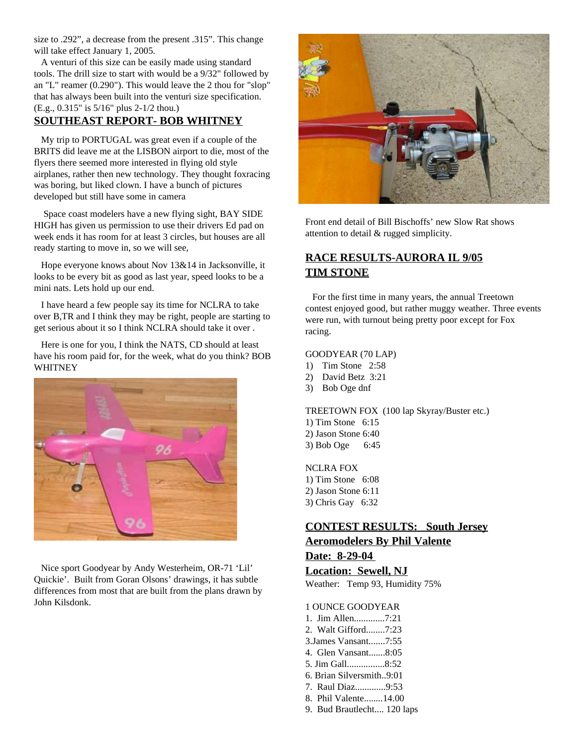size to .292", a decrease from the present .315". This change will take effect January 1, 2005.

A venturi of this size can be easily made using standard tools. The drill size to start with would be a 9/32" followed by an "L" reamer (0.290"). This would leave the 2 thou for "slop" that has always been built into the venturi size specification. (E.g., 0.315" is 5/16" plus 2-1/2 thou.)

## **SOUTHEAST REPORT- BOB WHITNEY**

My trip to PORTUGAL was great even if a couple of the BRITS did leave me at the LISBON airport to die, most of the flyers there seemed more interested in flying old style airplanes, rather then new technology. They thought foxracing was boring, but liked clown. I have a bunch of pictures developed but still have some in camera

Space coast modelers have a new flying sight, BAY SIDE HIGH has given us permission to use their drivers Ed pad on week ends it has room for at least 3 circles, but houses are all ready starting to move in, so we will see,

Hope everyone knows about Nov 13&14 in Jacksonville, it looks to be every bit as good as last year, speed looks to be a mini nats. Lets hold up our end.

I have heard a few people say its time for NCLRA to take over B,TR and I think they may be right, people are starting to get serious about it so I think NCLRA should take it over .

Here is one for you, I think the NATS, CD should at least have his room paid for, for the week, what do you think? BOB WHITNEY



Nice sport Goodyear by Andy Westerheim, OR-71 'Lil' Quickie'. Built from Goran Olsons' drawings, it has subtle differences from most that are built from the plans drawn by John Kilsdonk.



Front end detail of Bill Bischoffs' new Slow Rat shows attention to detail & rugged simplicity.

# **RACE RESULTS-AURORA IL 9/05 TIM STONE**

For the first time in many years, the annual Treetown contest enjoyed good, but rather muggy weather. Three events were run, with turnout being pretty poor except for Fox racing.

#### GOODYEAR (70 LAP)

- 1) Tim Stone 2:58
- 2) David Betz 3:21
- 3) Bob Oge dnf

TREETOWN FOX (100 lap Skyray/Buster etc.)

- 1) Tim Stone 6:15
- 2) Jason Stone 6:40
- 3) Bob Oge 6:45

NCLRA FOX

- 1) Tim Stone 6:08 2) Jason Stone 6:11
- 3) Chris Gay 6:32

# **CONTEST RESULTS: South Jersey Aeromodelers By Phil Valente Date: 8-29-04**

#### **Location: Sewell, NJ**

Weather: Temp 93, Humidity 75%

- 1 OUNCE GOODYEAR
- 1. Jim Allen.............7:21
- 2. Walt Gifford........7:23
- 3.James Vansant.......7:55
- 4. Glen Vansant.......8:05
- 5. Jim Gall................8:52
- 6. Brian Silversmith..9:01
- 7. Raul Diaz.............9:53
- 8. Phil Valente........14.00
- 9. Bud Brautlecht.... 120 laps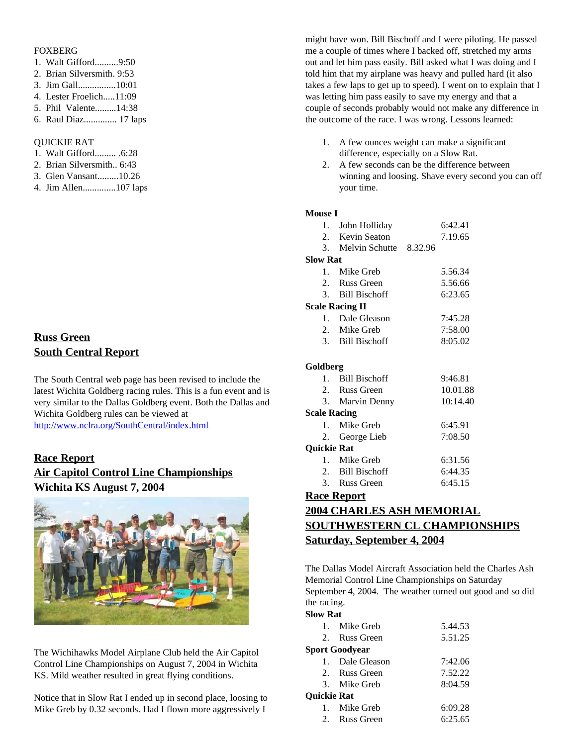#### FOXBERG

- 1. Walt Gifford..........9:50
- 2. Brian Silversmith. 9:53
- 3. Jim Gall................10:01
- 4. Lester Froelich.....11:09
- 5. Phil Valente.........14:38
- 6. Raul Diaz.............. 17 laps

#### QUICKIE RAT

- 1. Walt Gifford......... .6:28
- 2. Brian Silversmith.. 6:43
- 3. Glen Vansant.........10.26
- 4. Jim Allen..............107 laps

# **Russ Green South Central Report**

The South Central web page has been revised to include the latest Wichita Goldberg racing rules. This is a fun event and is very similar to the Dallas Goldberg event. Both the Dallas and Wichita Goldberg rules can be viewed at

http://www.nclra.org/SouthCentral/index.html

# **Race Report Air Capitol Control Line Championships Wichita KS August 7, 2004**



The Wichihawks Model Airplane Club held the Air Capitol Control Line Championships on August 7, 2004 in Wichita KS. Mild weather resulted in great flying conditions.

Notice that in Slow Rat I ended up in second place, loosing to Mike Greb by 0.32 seconds. Had I flown more aggressively I

might have won. Bill Bischoff and I were piloting. He passed me a couple of times where I backed off, stretched my arms out and let him pass easily. Bill asked what I was doing and I told him that my airplane was heavy and pulled hard (it also takes a few laps to get up to speed). I went on to explain that I was letting him pass easily to save my energy and that a couple of seconds probably would not make any difference in the outcome of the race. I was wrong. Lessons learned:

- 1. A few ounces weight can make a significant difference, especially on a Slow Rat.
- 2. A few seconds can be the difference between winning and loosing. Shave every second you can off your time.

#### **M**

| Mouse 1                |                           |          |
|------------------------|---------------------------|----------|
|                        | 1. John Holliday          | 6:42.41  |
|                        | 2. Kevin Seaton           | 7.19.65  |
|                        | 3. Melvin Schutte 8.32.96 |          |
| <b>Slow Rat</b>        |                           |          |
|                        | 1. Mike Greb              | 5.56.34  |
|                        | 2. Russ Green             | 5.56.66  |
|                        | 3. Bill Bischoff          | 6:23.65  |
| <b>Scale Racing II</b> |                           |          |
|                        | 1. Dale Gleason           | 7:45.28  |
|                        | 2. Mike Greb              | 7:58.00  |
|                        | 3. Bill Bischoff          | 8:05.02  |
|                        |                           |          |
| Goldberg               |                           |          |
|                        | 1. Bill Bischoff          | 9:46.81  |
|                        | 2. Russ Green             | 10.01.88 |
|                        | 3. Marvin Denny           | 10:14.40 |
| <b>Scale Racing</b>    |                           |          |
| $1_{\cdots}$           | Mike Greb                 | 6:45.91  |
|                        | 2. George Lieb            | 7:08.50  |
| <b>Quickie Rat</b>     |                           |          |
|                        | 1. Mike Greb              | 6:31.56  |
|                        | 2. Bill Bischoff          | 6:44.35  |
|                        | 3. Russ Green             | 6:45.15  |
| <b>Race Report</b>     |                           |          |

# **2004 CHARLES ASH MEMORIAL SOUTHWESTERN CL CHAMPIONSHIPS Saturday, September 4, 2004**

The Dallas Model Aircraft Association held the Charles Ash Memorial Control Line Championships on Saturday September 4, 2004. The weather turned out good and so did the racing.

#### **Slow Rat**

|                    | 1. Mike Greb    | 5.44.53 |
|--------------------|-----------------|---------|
|                    | 2. Russ Green   | 5.51.25 |
|                    | Sport Goodyear  |         |
|                    | 1. Dale Gleason | 7:42.06 |
|                    | 2. Russ Green   | 7.52.22 |
|                    | 3. Mike Greb    | 8:04.59 |
| <b>Ouickie Rat</b> |                 |         |
|                    | 1. Mike Greb    | 6:09.28 |
|                    | 2. Russ Green   | 6:25.65 |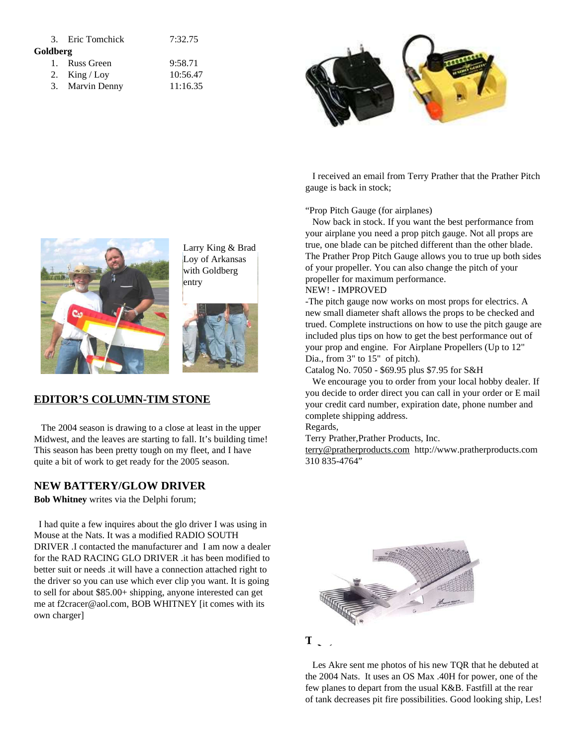|          | 3. Eric Tomchick | 7:32.75  |
|----------|------------------|----------|
| Goldberg |                  |          |
|          | 1. Russ Green    | 9:58.71  |
|          | 2. King / Loy    | 10:56.47 |
|          | 3. Marvin Denny  | 11:16.35 |



Larry King & Brad Loy of Arkansas with Goldberg entry



# **EDITOR'S COLUMN-TIM STONE**

The 2004 season is drawing to a close at least in the upper Midwest, and the leaves are starting to fall. It's building time! This season has been pretty tough on my fleet, and I have quite a bit of work to get ready for the 2005 season.

# **NEW BATTERY/GLOW DRIVER**

**Bob Whitney** writes via the Delphi forum;

I had quite a few inquires about the glo driver I was using in Mouse at the Nats. It was a modified RADIO SOUTH DRIVER .I contacted the manufacturer and I am now a dealer for the RAD RACING GLO DRIVER .it has been modified to better suit or needs .it will have a connection attached right to the driver so you can use which ever clip you want. It is going to sell for about \$85.00+ shipping, anyone interested can get me at f2cracer@aol.com, BOB WHITNEY [it comes with its own charger]

I received an email from Terry Prather that the Prather Pitch gauge is back in stock;

"Prop Pitch Gauge (for airplanes)

Now back in stock. If you want the best performance from your airplane you need a prop pitch gauge. Not all props are true, one blade can be pitched different than the other blade. The Prather Prop Pitch Gauge allows you to true up both sides of your propeller. You can also change the pitch of your propeller for maximum performance.

#### NEW! - IMPROVED

-The pitch gauge now works on most props for electrics. A new small diameter shaft allows the props to be checked and trued. Complete instructions on how to use the pitch gauge are included plus tips on how to get the best performance out of your prop and engine. For Airplane Propellers (Up to 12" Dia., from 3" to 15" of pitch).

Catalog No. 7050 - \$69.95 plus \$7.95 for S&H

We encourage you to order from your local hobby dealer. If you decide to order direct you can call in your order or E mail your credit card number, expiration date, phone number and complete shipping address.

Regards,

Terry Prather,Prather Products, Inc.

terry@pratherproducts.com http://www.pratherproducts.com 310 835-4764"



Les Akre sent me photos of his new TQR that he debuted at the 2004 Nats. It uses an OS Max .40H for power, one of the few planes to depart from the usual K&B. Fastfill at the rear of tank decreases pit fire possibilities. Good looking ship, Les!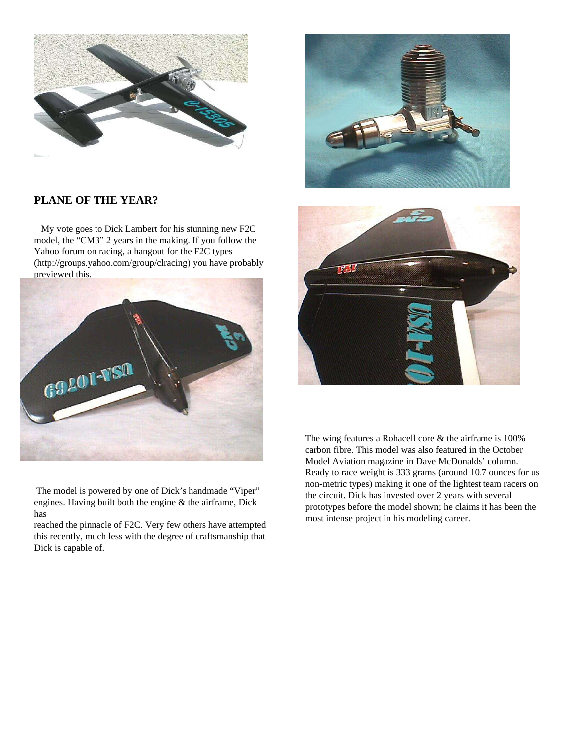

# **PLANE OF THE YEAR?**

My vote goes to Dick Lambert for his stunning new F2C model, the "CM3" 2 years in the making. If you follow the Yahoo forum on racing, a hangout for the F2C types (http://groups.yahoo.com/group/clracing) you have probably previewed this.



The model is powered by one of Dick's handmade "Viper" engines. Having built both the engine & the airframe, Dick has

reached the pinnacle of F2C. Very few others have attempted this recently, much less with the degree of craftsmanship that Dick is capable of.





The wing features a Rohacell core & the airframe is 100% carbon fibre. This model was also featured in the October Model Aviation magazine in Dave McDonalds' column. Ready to race weight is 333 grams (around 10.7 ounces for us non-metric types) making it one of the lightest team racers on the circuit. Dick has invested over 2 years with several prototypes before the model shown; he claims it has been the most intense project in his modeling career.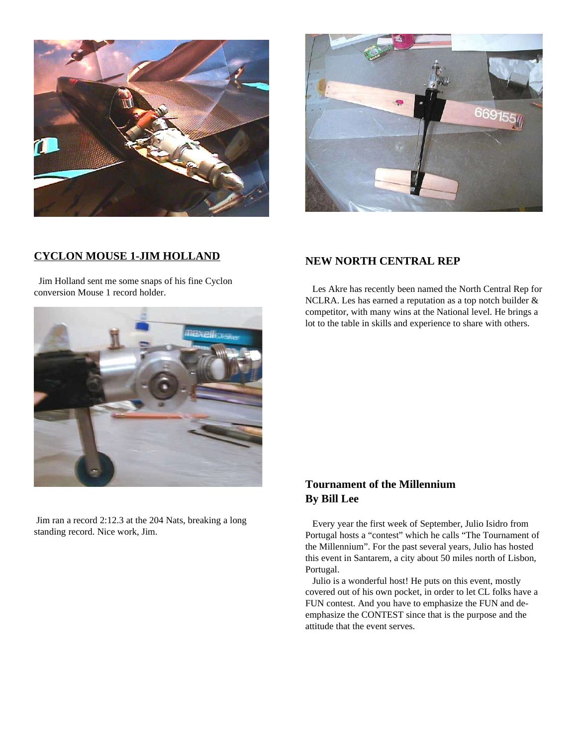



# **CYCLON MOUSE 1-JIM HOLLAND**

Jim Holland sent me some snaps of his fine Cyclon conversion Mouse 1 record holder.

# **NEW NORTH CENTRAL REP**

Les Akre has recently been named the North Central Rep for NCLRA. Les has earned a reputation as a top notch builder & competitor, with many wins at the National level. He brings a lot to the table in skills and experience to share with others.



Jim ran a record 2:12.3 at the 204 Nats, breaking a long standing record. Nice work, Jim.

# **Tournament of the Millennium By Bill Lee**

Every year the first week of September, Julio Isidro from Portugal hosts a "contest" which he calls "The Tournament of the Millennium". For the past several years, Julio has hosted this event in Santarem, a city about 50 miles north of Lisbon, Portugal.

Julio is a wonderful host! He puts on this event, mostly covered out of his own pocket, in order to let CL folks have a FUN contest. And you have to emphasize the FUN and deemphasize the CONTEST since that is the purpose and the attitude that the event serves.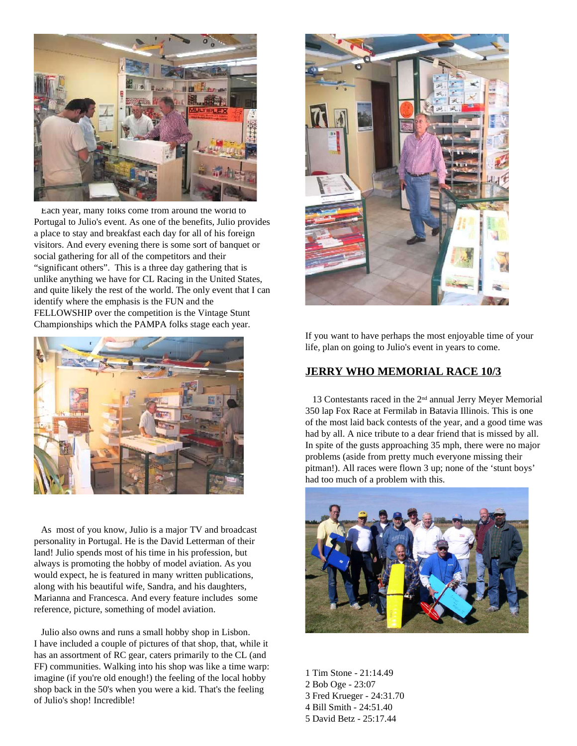

Each year, many folks come from around the world to Portugal to Julio's event. As one of the benefits, Julio provides a place to stay and breakfast each day for all of his foreign visitors. And every evening there is some sort of banquet or social gathering for all of the competitors and their "significant others". This is a three day gathering that is unlike anything we have for CL Racing in the United States, and quite likely the rest of the world. The only event that I can identify where the emphasis is the FUN and the FELLOWSHIP over the competition is the Vintage Stunt Championships which the PAMPA folks stage each year.



As most of you know, Julio is a major TV and broadcast personality in Portugal. He is the David Letterman of their land! Julio spends most of his time in his profession, but always is promoting the hobby of model aviation. As you would expect, he is featured in many written publications, along with his beautiful wife, Sandra, and his daughters, Marianna and Francesca. And every feature includes some reference, picture, something of model aviation.

Julio also owns and runs a small hobby shop in Lisbon. I have included a couple of pictures of that shop, that, while it has an assortment of RC gear, caters primarily to the CL (and FF) communities. Walking into his shop was like a time warp: imagine (if you're old enough!) the feeling of the local hobby shop back in the 50's when you were a kid. That's the feeling of Julio's shop! Incredible!



If you want to have perhaps the most enjoyable time of your life, plan on going to Julio's event in years to come.

# **JERRY WHO MEMORIAL RACE 10/3**

13 Contestants raced in the 2<sup>nd</sup> annual Jerry Meyer Memorial 350 lap Fox Race at Fermilab in Batavia Illinois. This is one of the most laid back contests of the year, and a good time was had by all. A nice tribute to a dear friend that is missed by all. In spite of the gusts approaching 35 mph, there were no major problems (aside from pretty much everyone missing their pitman!). All races were flown 3 up; none of the 'stunt boys' had too much of a problem with this.



 Tim Stone - 21:14.49 Bob Oge - 23:07 Fred Krueger - 24:31.70 Bill Smith - 24:51.40 David Betz - 25:17.44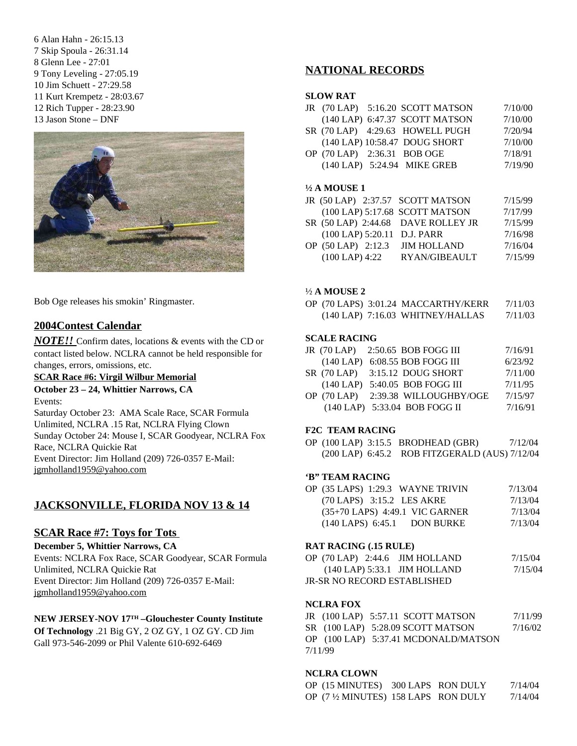Alan Hahn - 26:15.13 Skip Spoula - 26:31.14 Glenn Lee - 27:01 Tony Leveling - 27:05.19 Jim Schuett - 27:29.58 Kurt Krempetz - 28:03.67 Rich Tupper - 28:23.90 Jason Stone – DNF



Bob Oge releases his smokin' Ringmaster.

# **2004Contest Calendar**

*NOTE!!* Confirm dates, locations & events with the CD or contact listed below. NCLRA cannot be held responsible for changes, errors, omissions, etc.

#### **SCAR Race #6: Virgil Wilbur Memorial October 23 – 24, Whittier Narrows, CA**

#### Events:

Saturday October 23: AMA Scale Race, SCAR Formula Unlimited, NCLRA .15 Rat, NCLRA Flying Clown Sunday October 24: Mouse I, SCAR Goodyear, NCLRA Fox Race, NCLRA Quickie Rat Event Director: Jim Holland (209) 726-0357 E-Mail: jgmholland1959@yahoo.com

# **JACKSONVILLE, FLORIDA NOV 13 & 14**

#### **SCAR Race #7: Toys for Tots**

#### **December 5, Whittier Narrows, CA**

Events: NCLRA Fox Race, SCAR Goodyear, SCAR Formula Unlimited, NCLRA Quickie Rat Event Director: Jim Holland (209) 726-0357 E-Mail: jgmholland1959@yahoo.com

#### **NEW JERSEY-NOV 17 TH –Glouchester County Institute**

**Of Technology** .21 Big GY, 2 OZ GY, 1 OZ GY. CD Jim Gall 973-546-2099 or Phil Valente 610-692-6469

# **NATIONAL RECORDS**

#### **SLOW RAT**

|  | JR (70 LAP) 5:16.20 SCOTT MATSON | 7/10/00 |
|--|----------------------------------|---------|
|  | (140 LAP) 6:47.37 SCOTT MATSON   | 7/10/00 |
|  | SR (70 LAP) 4:29.63 HOWELL PUGH  | 7/20/94 |
|  | (140 LAP) 10:58.47 DOUG SHORT    | 7/10/00 |
|  | OP (70 LAP) 2:36.31 BOB OGE      | 7/18/91 |
|  | (140 LAP) 5:24.94 MIKE GREB      | 7/19/90 |
|  |                                  |         |

#### **½ A MOUSE 1**

|                    | JR (50 LAP) 2:37.57 SCOTT MATSON   | 7/15/99 |
|--------------------|------------------------------------|---------|
|                    | (100 LAP) 5:17.68 SCOTT MATSON     | 7/17/99 |
|                    | SR (50 LAP) 2:44.68 DAVE ROLLEY JR | 7/15/99 |
|                    | (100 LAP) 5:20.11 D.J. PARR        | 7/16/98 |
| OP (50 LAP) 2:12.3 | <b>JIM HOLLAND</b>                 | 7/16/04 |
| $(100$ LAP) 4:22   | <b>RYAN/GIBEAULT</b>               | 7/15/99 |
|                    |                                    |         |

#### ½ **A MOUSE 2**

OP (70 LAPS) 3:01.24 MACCARTHY/KERR 7/11/03 (140 LAP) 7:16.03 WHITNEY/HALLAS 7/11/03

#### **SCALE RACING**

|  | JR (70 LAP) 2:50.65 BOB FOGG III    | 7/16/91 |
|--|-------------------------------------|---------|
|  | $(140$ LAP $)$ 6:08.55 BOB FOGG III | 6/23/92 |

- SR (70 LAP) 3:15.12 DOUG SHORT 7/11/00 (140 LAP) 5:40.05 BOB FOGG III 7/11/95
- OP (70 LAP) 2:39.38 WILLOUGHBY/OGE 7/15/97 (140 LAP) 5:33.04 BOB FOGG II 7/16/91

#### **F2C TEAM RACING**

OP (100 LAP) 3:15.5 BRODHEAD (GBR) 7/12/04 (200 LAP) 6:45.2 ROB FITZGERALD (AUS) 7/12/04

#### **'B" TEAM RACING**

| OP (35 LAPS) 1:29.3 WAYNE TRIVIN           | 7/13/04 |
|--------------------------------------------|---------|
| $(70$ LAPS) $3:15.2$ LES AKRE              | 7/13/04 |
| $(35+70$ LAPS) 4:49.1 VIC GARNER           | 7/13/04 |
| $(140$ LAPS $)$ 6:45.1<br><b>DON BURKE</b> | 7/13/04 |
|                                            |         |

#### **RAT RACING (.15 RULE)**

| OP $(70$ LAP $)$ 2:44.6 JIM HOLLAND | 7/15/04 |
|-------------------------------------|---------|
| $(140$ LAP) 5:33.1 JIM HOLLAND      | 7/15/04 |
| <b>JR-SR NO RECORD ESTABLISHED</b>  |         |

#### **NCLRA FOX**

JR (100 LAP) 5:57.11 SCOTT MATSON 7/11/99 SR (100 LAP) 5:28.09 SCOTT MATSON 7/16/02 OP (100 LAP) 5:37.41 MCDONALD/MATSON 7/11/99

#### **NCLRA CLOWN**

| OP (15 MINUTES) 300 LAPS RON DULY    |  | 7/14/04 |
|--------------------------------------|--|---------|
| OP (7 1/2 MINUTES) 158 LAPS RON DULY |  | 7/14/04 |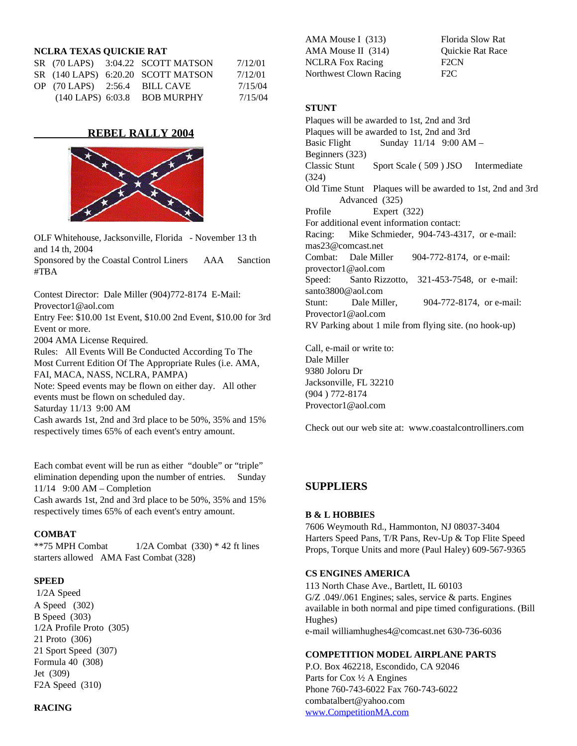#### **NCLRA TEXAS QUICKIE RAT**

|  | $SR$ (70 LAPS) $3:04.22$ SCOTT MATSON | 7/12/01 |
|--|---------------------------------------|---------|
|  | SR (140 LAPS) 6:20.20 SCOTT MATSON    | 7/12/01 |
|  | OP $(70$ LAPS) $2:56.4$ BILL CAVE     | 7/15/04 |
|  | $(140$ LAPS $)$ 6:03.8 BOB MURPHY     | 7/15/04 |

#### **REBEL RALLY 2004**



OLF Whitehouse, Jacksonville, Florida - November 13 th and 14 th, 2004

Sponsored by the Coastal Control Liners AAA Sanction #TBA

Contest Director: Dale Miller (904)772-8174 E-Mail: Provector1@aol.com Entry Fee: \$10.00 1st Event, \$10.00 2nd Event, \$10.00 for 3rd Event or more. 2004 AMA License Required. Rules: All Events Will Be Conducted According To The Most Current Edition Of The Appropriate Rules (i.e. AMA, FAI, MACA, NASS, NCLRA, PAMPA) Note: Speed events may be flown on either day. All other

events must be flown on scheduled day. Saturday 11/13 9:00 AM

Cash awards 1st, 2nd and 3rd place to be 50%, 35% and 15% respectively times 65% of each event's entry amount.

Each combat event will be run as either "double" or "triple" elimination depending upon the number of entries. Sunday 11/14 9:00 AM – Completion

Cash awards 1st, 2nd and 3rd place to be 50%, 35% and 15% respectively times 65% of each event's entry amount.

#### **COMBAT**

\*\*75 MPH Combat  $1/2A$  Combat  $(330)$  \* 42 ft lines starters allowed AMA Fast Combat (328)

#### **SPEED**

1/2A Speed A Speed (302) B Speed (303) 1/2A Profile Proto (305) 21 Proto (306) 21 Sport Speed (307) Formula 40 (308) Jet (309) F2A Speed (310)

#### **RACING**

AMA Mouse I (313) Florida Slow Rat AMA Mouse II (314) Quickie Rat Race NCLRA Fox Racing F2CN Northwest Clown Racing F2C

#### **STUNT**

Plaques will be awarded to 1st, 2nd and 3rd Plaques will be awarded to 1st, 2nd and 3rd Basic Flight Sunday  $11/14$  9:00 AM – Beginners (323)<br>Classic Stunt Sport Scale ( 509 ) JSO Intermediate (324) Old Time Stunt Plaques will be awarded to 1st, 2nd and 3rd Advanced (325) Profile Expert (322) For additional event information contact: Racing: Mike Schmieder, 904-743-4317, or e-mail: mas23@comcast.net Combat: Dale Miller 904-772-8174, or e-mail: provector1@aol.com Speed: Santo Rizzotto, 321-453-7548, or e-mail: santo3800@aol.com Stunt: Dale Miller, 904-772-8174, or e-mail: Provector1@aol.com RV Parking about 1 mile from flying site. (no hook-up)

Call, e-mail or write to: Dale Miller 9380 Joloru Dr Jacksonville, FL 32210 (904 ) 772-8174 Provector1@aol.com

Check out our web site at: www.coastalcontrolliners.com

#### **SUPPLIERS**

#### **B & L HOBBIES**

7606 Weymouth Rd., Hammonton, NJ 08037-3404 Harters Speed Pans, T/R Pans, Rev-Up & Top Flite Speed Props, Torque Units and more (Paul Haley) 609-567-9365

#### **CS ENGINES AMERICA**

113 North Chase Ave., Bartlett, IL 60103 G/Z .049/.061 Engines; sales, service & parts. Engines available in both normal and pipe timed configurations. (Bill Hughes) e-mail williamhughes4@comcast.net 630-736-6036

#### **COMPETITION MODEL AIRPLANE PARTS**

P.O. Box 462218, Escondido, CA 92046 Parts for Cox ½ A Engines Phone 760-743-6022 Fax 760-743-6022 combatalbert@yahoo.com www.CompetitionMA.com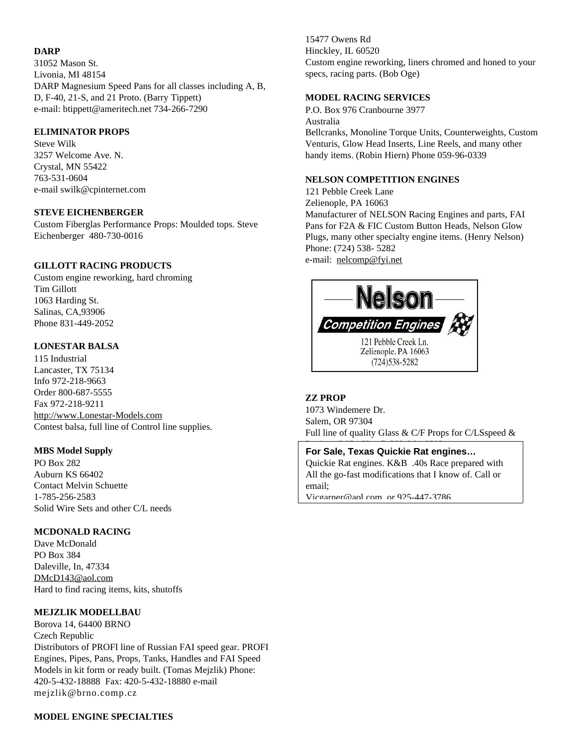#### **DARP**

31052 Mason St. Livonia, MI 48154 DARP Magnesium Speed Pans for all classes including A, B, D, F-40, 21-S, and 21 Proto. (Barry Tippett) e-mail: btippett@ameritech.net 734-266-7290

#### **ELIMINATOR PROPS**

Steve Wilk 3257 Welcome Ave. N. Crystal, MN 55422 763-531-0604 e-mail swilk@cpinternet.com

#### **STEVE EICHENBERGER**

Custom Fiberglas Performance Props: Moulded tops. Steve Eichenberger 480-730-0016

#### **GILLOTT RACING PRODUCTS**

Custom engine reworking, hard chroming Tim Gillott 1063 Harding St. Salinas, CA,93906 Phone 831-449-2052

#### **LONESTAR BALSA**

115 Industrial Lancaster, TX 75134 Info 972-218-9663 Order 800-687-5555 Fax 972-218-9211 http://www.Lonestar-Models.com Contest balsa, full line of Control line supplies.

#### **MBS Model Supply**

PO Box 282 Auburn KS 66402 Contact Melvin Schuette 1-785-256-2583 Solid Wire Sets and other C/L needs

#### **MCDONALD RACING**

Dave McDonald PO Box 384 Daleville, In, 47334 DMcD143@aol.com Hard to find racing items, kits, shutoffs

#### **MEJZLIK MODELLBAU**

Borova 14, 64400 BRNO Czech Republic Distributors of PROFI line of Russian FAI speed gear. PROFI Engines, Pipes, Pans, Props, Tanks, Handles and FAI Speed Models in kit form or ready built. (Tomas Mejzlik) Phone: 420-5-432-18888 Fax: 420-5-432-18880 e-mail mejzlik@brno.comp.cz

15477 Owens Rd Hinckley, IL 60520 Custom engine reworking, liners chromed and honed to your specs, racing parts. (Bob Oge)

#### **MODEL RACING SERVICES**

P.O. Box 976 Cranbourne 3977

#### Australia

Bellcranks, Monoline Torque Units, Counterweights, Custom Venturis, Glow Head Inserts, Line Reels, and many other handy items. (Robin Hiern) Phone 059-96-0339

#### **NELSON COMPETITION ENGINES**

121 Pebble Creek Lane Zelienople, PA 16063 Manufacturer of NELSON Racing Engines and parts, FAI Pans for F2A & FIC Custom Button Heads, Nelson Glow Plugs, many other specialty engine items. (Henry Nelson) Phone: (724) 538- 5282 e-mail: nelcomp@fyi.net



#### **ZZ PROP**

1073 Windemere Dr. Salem, OR 97304 Full line of quality Glass  $&$  C/F Props for C/LSspeed  $&$ 

Racing. (Mike Hazel) 503-364-8593 **For Sale, Texas Quickie Rat engines…** Quickie Rat engines. K&B .40s Race prepared with All the go-fast modifications that I know of. Call or email; Vicgarner@aol.com or 925-447-3786

**MODEL ENGINE SPECIALTIES**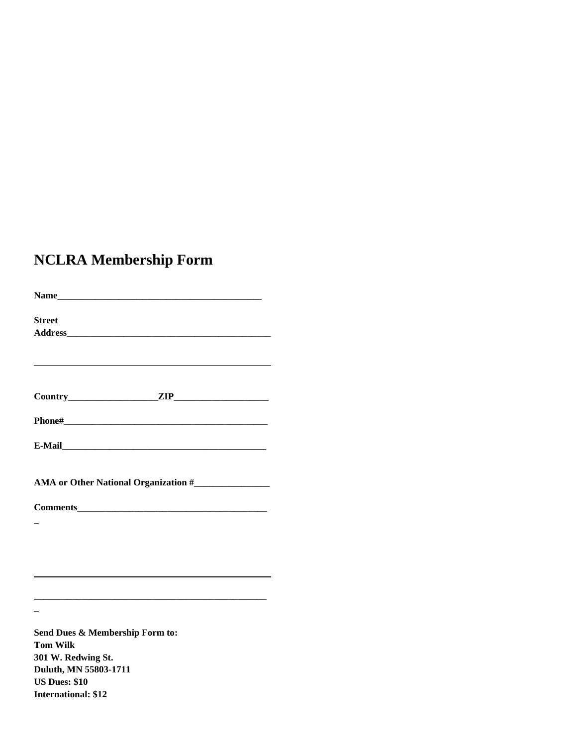# **NCLRA Membership Form**

| Name                            |  |  |  |  |
|---------------------------------|--|--|--|--|
| <b>Street</b>                   |  |  |  |  |
|                                 |  |  |  |  |
|                                 |  |  |  |  |
|                                 |  |  |  |  |
|                                 |  |  |  |  |
|                                 |  |  |  |  |
|                                 |  |  |  |  |
|                                 |  |  |  |  |
|                                 |  |  |  |  |
|                                 |  |  |  |  |
|                                 |  |  |  |  |
|                                 |  |  |  |  |
|                                 |  |  |  |  |
|                                 |  |  |  |  |
|                                 |  |  |  |  |
| Send Dues & Membership Form to: |  |  |  |  |
| <b>Tom Wilk</b>                 |  |  |  |  |
| 301 W. Redwing St.              |  |  |  |  |
| Duluth, MN 55803-1711           |  |  |  |  |
| <b>US Dues: \$10</b>            |  |  |  |  |
| <b>International: \$12</b>      |  |  |  |  |